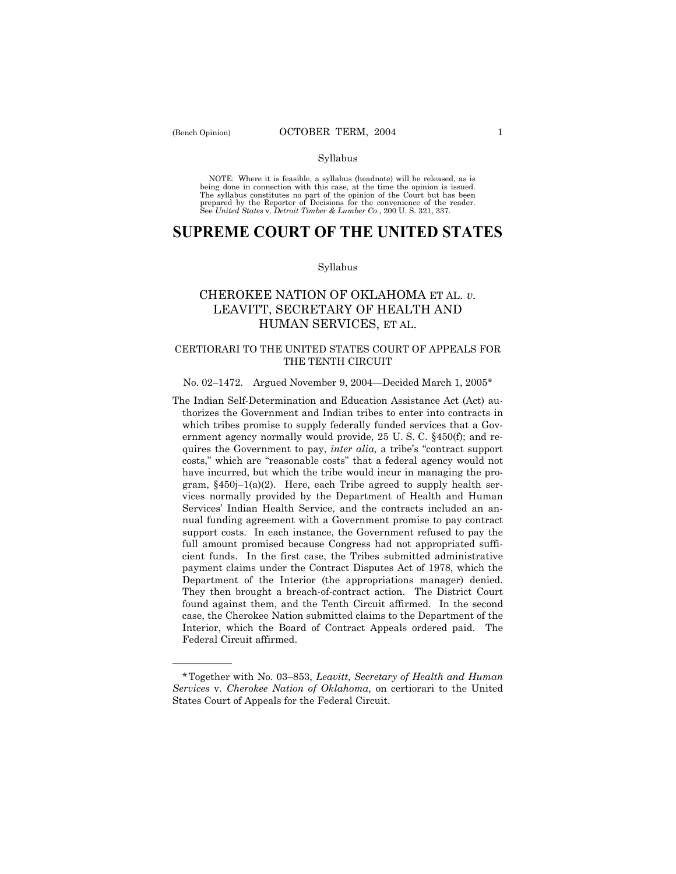óóóóóó

#### Syllabus

NOTE: Where it is feasible, a syllabus (headnote) will be released, as is being done in connection with this case, at the time the opinion is issued. The syllabus constitutes no part of the opinion of the Court but has been<br>prepared by the Reporter of Decisions for the convenience of the reader.<br>See United States v. Detroit Timber & Lumber Co., 200 U. S. 321, 337.

# **SUPREME COURT OF THE UNITED STATES**

#### Syllabus

## CHEROKEE NATION OF OKLAHOMA ET AL. *v.* LEAVITT, SECRETARY OF HEALTH AND HUMAN SERVICES, ET AL.

### CERTIORARI TO THE UNITED STATES COURT OF APPEALS FOR THE TENTH CIRCUIT

#### No. 02–1472. Argued November 9, 2004–Decided March 1, 2005\*

The Indian Self-Determination and Education Assistance Act (Act) authorizes the Government and Indian tribes to enter into contracts in which tribes promise to supply federally funded services that a Government agency normally would provide, 25 U. S. C. ß450(f); and requires the Government to pay, *inter alia*, a tribe's "contract support" costs," which are "reasonable costs" that a federal agency would not have incurred, but which the tribe would incur in managing the program,  $§450j-1(a)(2)$ . Here, each Tribe agreed to supply health services normally provided by the Department of Health and Human Services' Indian Health Service, and the contracts included an annual funding agreement with a Government promise to pay contract support costs. In each instance, the Government refused to pay the full amount promised because Congress had not appropriated sufficient funds. In the first case, the Tribes submitted administrative payment claims under the Contract Disputes Act of 1978, which the Department of the Interior (the appropriations manager) denied. They then brought a breach-of-contract action. The District Court found against them, and the Tenth Circuit affirmed. In the second case, the Cherokee Nation submitted claims to the Department of the Interior, which the Board of Contract Appeals ordered paid. The Federal Circuit affirmed.

<sup>\*</sup>Together with No. 03ñ853, *Leavitt, Secretary of Health and Human Services* v. *Cherokee Nation of Oklahoma,* on certiorari to the United States Court of Appeals for the Federal Circuit.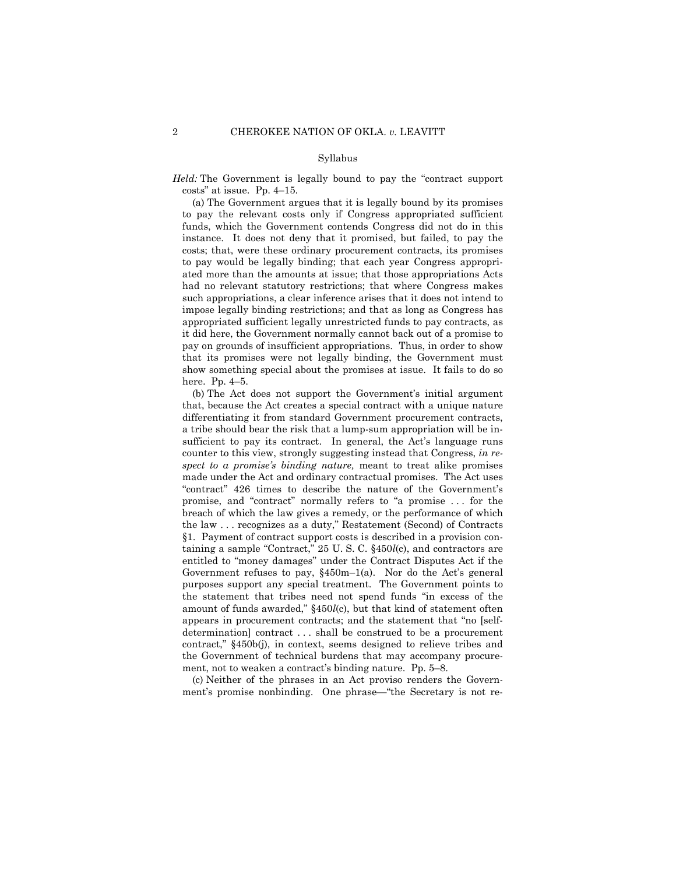#### Syllabus

*Held:* The Government is legally bound to pay the "contract support  $costs''$  at issue. Pp. 4-15.

 (a) The Government argues that it is legally bound by its promises to pay the relevant costs only if Congress appropriated sufficient funds, which the Government contends Congress did not do in this instance. It does not deny that it promised, but failed, to pay the costs; that, were these ordinary procurement contracts, its promises to pay would be legally binding; that each year Congress appropriated more than the amounts at issue; that those appropriations Acts had no relevant statutory restrictions; that where Congress makes such appropriations, a clear inference arises that it does not intend to impose legally binding restrictions; and that as long as Congress has appropriated sufficient legally unrestricted funds to pay contracts, as it did here, the Government normally cannot back out of a promise to pay on grounds of insufficient appropriations. Thus, in order to show that its promises were not legally binding, the Government must show something special about the promises at issue. It fails to do so here. Pp.  $4-5$ .

(b) The Act does not support the Government's initial argument that, because the Act creates a special contract with a unique nature differentiating it from standard Government procurement contracts, a tribe should bear the risk that a lump-sum appropriation will be insufficient to pay its contract. In general, the Act's language runs counter to this view, strongly suggesting instead that Congress, *in respect to a promiseís binding nature,* meant to treat alike promises made under the Act and ordinary contractual promises. The Act uses "contract" 426 times to describe the nature of the Government's promise, and "contract" normally refers to "a promise ... for the breach of which the law gives a remedy, or the performance of which the law ... recognizes as a duty," Restatement (Second) of Contracts ß1. Payment of contract support costs is described in a provision containing a sample "Contract,"  $25$  U. S. C.  $§450l(c)$ , and contractors are entitled to "money damages" under the Contract Disputes Act if the Government refuses to pay,  $§450m-1(a)$ . Nor do the Act's general purposes support any special treatment. The Government points to the statement that tribes need not spend funds "in excess of the amount of funds awarded," §450*l*(c), but that kind of statement often appears in procurement contracts; and the statement that "no [selfdetermination] contract . . . shall be construed to be a procurement contract," §450b(j), in context, seems designed to relieve tribes and the Government of technical burdens that may accompany procurement, not to weaken a contract's binding nature. Pp. 5–8.

 (c) Neither of the phrases in an Act proviso renders the Government's promise nonbinding. One phrase—"the Secretary is not re-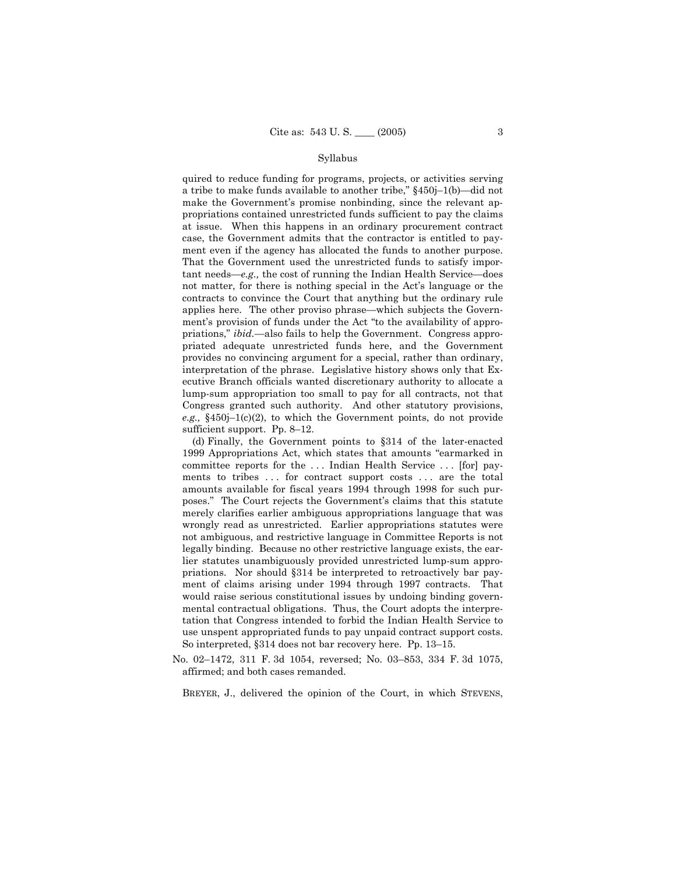#### Syllabus

quired to reduce funding for programs, projects, or activities serving a tribe to make funds available to another tribe,"  $§450j-1(b)$ —did not make the Government's promise nonbinding, since the relevant appropriations contained unrestricted funds sufficient to pay the claims at issue. When this happens in an ordinary procurement contract case, the Government admits that the contractor is entitled to payment even if the agency has allocated the funds to another purpose. That the Government used the unrestricted funds to satisfy important needs—e.g., the cost of running the Indian Health Service—does not matter, for there is nothing special in the Act's language or the contracts to convince the Court that anything but the ordinary rule applies here. The other proviso phrase—which subjects the Government's provision of funds under the Act "to the availability of appropriations," *ibid.*—also fails to help the Government. Congress appropriated adequate unrestricted funds here, and the Government provides no convincing argument for a special, rather than ordinary, interpretation of the phrase. Legislative history shows only that Executive Branch officials wanted discretionary authority to allocate a lump-sum appropriation too small to pay for all contracts, not that Congress granted such authority. And other statutory provisions, *e.g.*,  $§450j-1(c)(2)$ , to which the Government points, do not provide sufficient support. Pp. 8-12.

 (d) Finally, the Government points to ß314 of the later-enacted 1999 Appropriations Act, which states that amounts "earmarked in committee reports for the . . . Indian Health Service . . . [for] payments to tribes ... for contract support costs ... are the total amounts available for fiscal years 1994 through 1998 for such purposes." The Court rejects the Government's claims that this statute merely clarifies earlier ambiguous appropriations language that was wrongly read as unrestricted. Earlier appropriations statutes were not ambiguous, and restrictive language in Committee Reports is not legally binding. Because no other restrictive language exists, the earlier statutes unambiguously provided unrestricted lump-sum appropriations. Nor should ß314 be interpreted to retroactively bar payment of claims arising under 1994 through 1997 contracts. That would raise serious constitutional issues by undoing binding governmental contractual obligations. Thus, the Court adopts the interpretation that Congress intended to forbid the Indian Health Service to use unspent appropriated funds to pay unpaid contract support costs. So interpreted,  $§314$  does not bar recovery here. Pp. 13–15.

No. 02-1472, 311 F. 3d 1054, reversed; No. 03-853, 334 F. 3d 1075, affirmed; and both cases remanded.

BREYER, J., delivered the opinion of the Court, in which STEVENS,